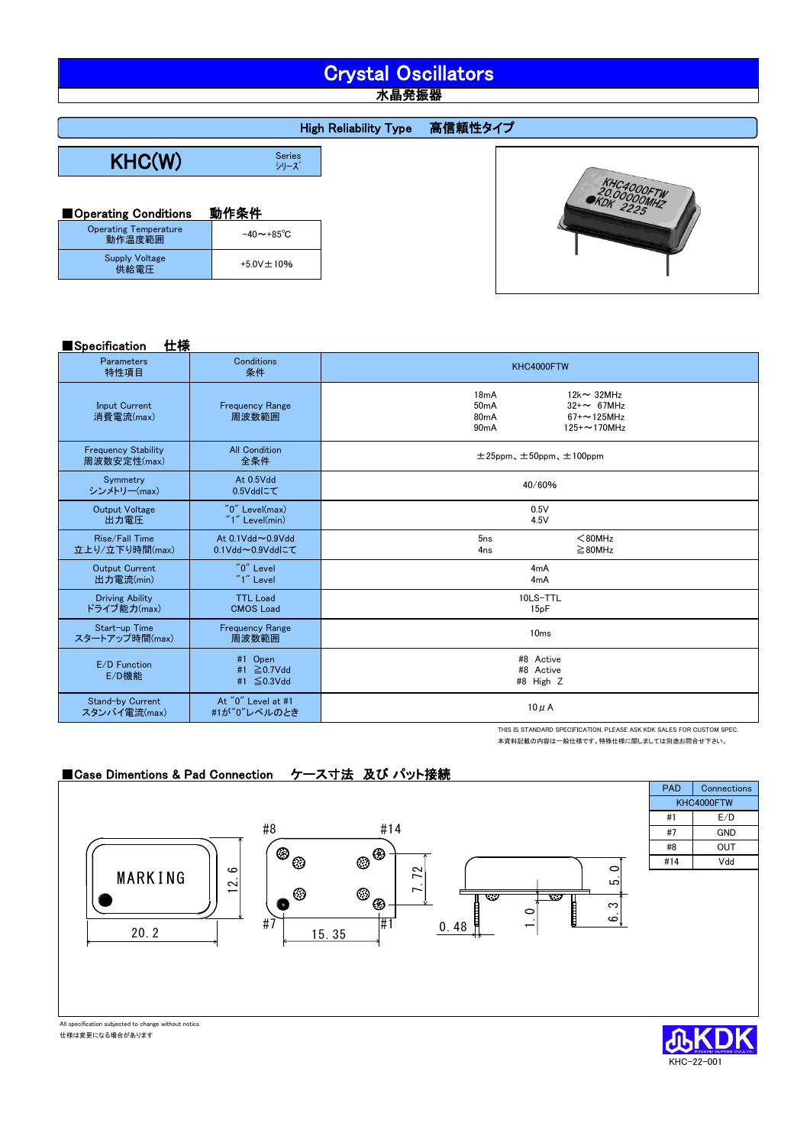# Crystal Oscillators

水晶発振器

 $KHC(W)$ Series<br>シリーズ High Reliability Type 高信頼性タイプ

| ■ Operating Conditions                 | 動作条件                     |
|----------------------------------------|--------------------------|
| <b>Operating Temperature</b><br>動作温度範囲 | $-40 \sim +85^{\circ}$ C |
| <b>Supply Voltage</b><br>供給電圧          | $+5.0V \pm 10%$          |



| Specification | 仕様 |
|---------------|----|
|---------------|----|

| .<br>__                                   |                                     |                                                                                                                                       |  |  |
|-------------------------------------------|-------------------------------------|---------------------------------------------------------------------------------------------------------------------------------------|--|--|
| <b>Parameters</b><br>特性項目                 | Conditions<br>条件                    | KHC4000FTW                                                                                                                            |  |  |
| <b>Input Current</b><br>消費電流(max)         | <b>Frequency Range</b><br>周波数範囲     | $12k \sim 32MHz$<br>18mA<br>50mA<br>$32 + \sim 67$ MHz<br>80 <sub>m</sub> A<br>$67 + 125$ MHz<br>90 <sub>m</sub> A<br>$125 + 170$ MHz |  |  |
| <b>Frequency Stability</b><br>周波数安定性(max) | <b>All Condition</b><br>全条件         | $\pm 25$ ppm、 $\pm 50$ ppm、 $\pm 100$ ppm                                                                                             |  |  |
| Symmetry<br>シンメトリー(max)                   | At 0.5Vdd<br>0.5Vddにて               | 40/60%                                                                                                                                |  |  |
| <b>Output Voltage</b><br>出力電圧             | "0" Level(max)<br>$"1"$ Level(min)  | 0.5V<br>4.5V                                                                                                                          |  |  |
| Rise/Fall Time<br>立上り/立下り時間(max)          | At 0.1Vdd~0.9Vdd<br>0.1Vdd~0.9Vddにて | 5ns<br>$80MHz$<br>$\geq$ 80MHz<br>4 <sub>ns</sub>                                                                                     |  |  |
| <b>Output Current</b><br>出力雷流(min)        | "0" Level<br>"1" Level              | 4mA<br>4mA                                                                                                                            |  |  |
| <b>Driving Ability</b><br>ドライブ能力(max)     | <b>TTL Load</b><br><b>CMOS Load</b> | 10LS-TTL<br>15 <sub>p</sub> F                                                                                                         |  |  |
| Start-up Time<br>スタートアップ時間(max)           | <b>Frequency Range</b><br>周波数範囲     | 10 <sub>ms</sub>                                                                                                                      |  |  |
| E/D Function<br>E/D機能                     | #1 Open<br>#1 ≧0.7Vdd<br>#1 ≦0.3Vdd | #8 Active<br>#8 Active<br>#8 High Z                                                                                                   |  |  |
| Stand-by Current<br>スタンバイ電流(max)          | At "0" Level at #1<br>#1が"0"レベルのとき  | $10 \mu$ A                                                                                                                            |  |  |

THIS IS STANDARD SPECIFICATION, PLEASE ASK KDK SALES FOR CUSTOM SPEC. 本資料記載の内容は一般仕様です。特殊仕様に関しましては別途お問合せ下さい。

KHC-22-001

## ■Case Dimentions & Pad Connection ケース寸法 及び パット接続



仕様は変更になる場合があります